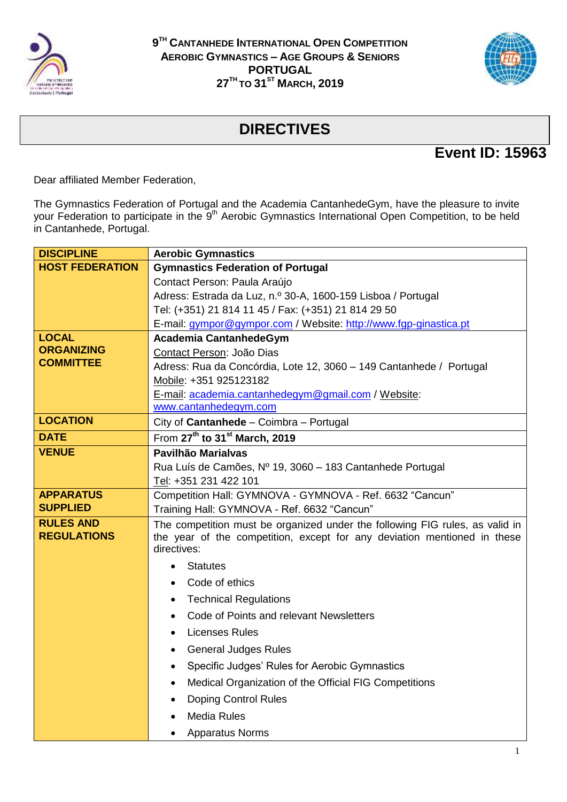



## **DIRECTIVES**

## **Event ID: 15963**

Dear affiliated Member Federation,

The Gymnastics Federation of Portugal and the Academia CantanhedeGym, have the pleasure to invite your Federation to participate in the 9<sup>th</sup> Aerobic Gymnastics International Open Competition, to be held in Cantanhede, Portugal.

| <b>DISCIPLINE</b>                      | <b>Aerobic Gymnastics</b>                                                                                                                                               |  |  |
|----------------------------------------|-------------------------------------------------------------------------------------------------------------------------------------------------------------------------|--|--|
| <b>HOST FEDERATION</b>                 | <b>Gymnastics Federation of Portugal</b>                                                                                                                                |  |  |
|                                        | Contact Person: Paula Araújo                                                                                                                                            |  |  |
|                                        | Adress: Estrada da Luz, n.º 30-A, 1600-159 Lisboa / Portugal                                                                                                            |  |  |
|                                        | Tel: (+351) 21 814 11 45 / Fax: (+351) 21 814 29 50                                                                                                                     |  |  |
|                                        | E-mail: gympor@gympor.com / Website: http://www.fgp-ginastica.pt                                                                                                        |  |  |
| <b>LOCAL</b>                           | Academia CantanhedeGym                                                                                                                                                  |  |  |
| <b>ORGANIZING</b>                      | Contact Person: João Dias                                                                                                                                               |  |  |
| <b>COMMITTEE</b>                       | Adress: Rua da Concórdia, Lote 12, 3060 - 149 Cantanhede / Portugal                                                                                                     |  |  |
|                                        | Mobile: +351 925123182                                                                                                                                                  |  |  |
|                                        | E-mail: academia.cantanhedegym@gmail.com / Website:                                                                                                                     |  |  |
|                                        | www.cantanhedegym.com                                                                                                                                                   |  |  |
| <b>LOCATION</b>                        | City of Cantanhede - Coimbra - Portugal                                                                                                                                 |  |  |
| <b>DATE</b>                            | From 27th to 31 <sup>st</sup> March, 2019                                                                                                                               |  |  |
| <b>VENUE</b>                           | Pavilhão Marialvas                                                                                                                                                      |  |  |
|                                        | Rua Luís de Camões, Nº 19, 3060 - 183 Cantanhede Portugal                                                                                                               |  |  |
|                                        | Tel: +351 231 422 101                                                                                                                                                   |  |  |
| <b>APPARATUS</b>                       | Competition Hall: GYMNOVA - GYMNOVA - Ref. 6632 "Cancun"                                                                                                                |  |  |
| <b>SUPPLIED</b>                        | Training Hall: GYMNOVA - Ref. 6632 "Cancun"                                                                                                                             |  |  |
| <b>RULES AND</b><br><b>REGULATIONS</b> | The competition must be organized under the following FIG rules, as valid in<br>the year of the competition, except for any deviation mentioned in these<br>directives: |  |  |
|                                        | <b>Statutes</b>                                                                                                                                                         |  |  |
|                                        | Code of ethics                                                                                                                                                          |  |  |
|                                        | <b>Technical Regulations</b><br>٠                                                                                                                                       |  |  |
|                                        | Code of Points and relevant Newsletters<br>$\bullet$                                                                                                                    |  |  |
|                                        | <b>Licenses Rules</b><br>$\bullet$                                                                                                                                      |  |  |
|                                        | <b>General Judges Rules</b><br>$\bullet$                                                                                                                                |  |  |
|                                        | Specific Judges' Rules for Aerobic Gymnastics<br>$\bullet$                                                                                                              |  |  |
|                                        | Medical Organization of the Official FIG Competitions<br>$\bullet$                                                                                                      |  |  |
|                                        | <b>Doping Control Rules</b><br>٠                                                                                                                                        |  |  |
|                                        | <b>Media Rules</b>                                                                                                                                                      |  |  |
|                                        | <b>Apparatus Norms</b>                                                                                                                                                  |  |  |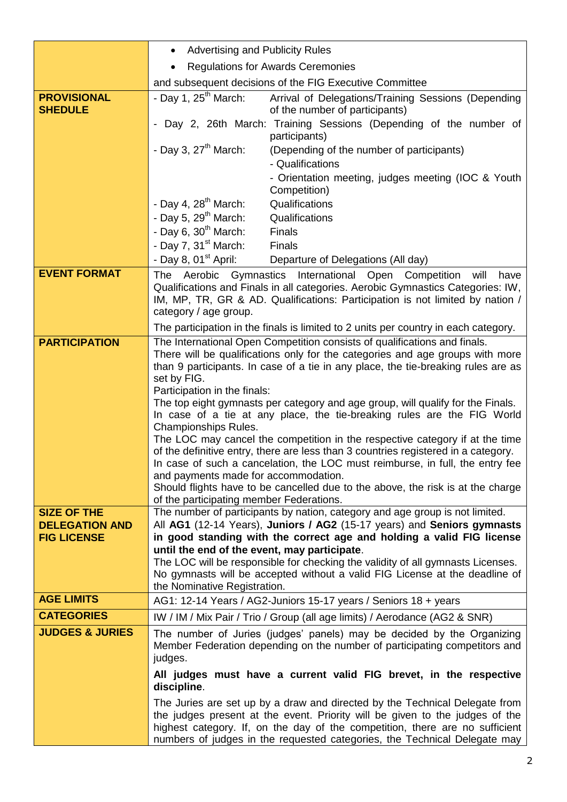|                                                                                           | <b>Advertising and Publicity Rules</b>                                                                                                                                                                                                                                                                                                                                                                                                                                                                                                                                                                                                                                                                                                                                                                                                                                                                                                                                                                                                                                                                                                                                                                                                                                                                                                                                                                          |  |  |
|-------------------------------------------------------------------------------------------|-----------------------------------------------------------------------------------------------------------------------------------------------------------------------------------------------------------------------------------------------------------------------------------------------------------------------------------------------------------------------------------------------------------------------------------------------------------------------------------------------------------------------------------------------------------------------------------------------------------------------------------------------------------------------------------------------------------------------------------------------------------------------------------------------------------------------------------------------------------------------------------------------------------------------------------------------------------------------------------------------------------------------------------------------------------------------------------------------------------------------------------------------------------------------------------------------------------------------------------------------------------------------------------------------------------------------------------------------------------------------------------------------------------------|--|--|
|                                                                                           | <b>Regulations for Awards Ceremonies</b><br>$\bullet$                                                                                                                                                                                                                                                                                                                                                                                                                                                                                                                                                                                                                                                                                                                                                                                                                                                                                                                                                                                                                                                                                                                                                                                                                                                                                                                                                           |  |  |
|                                                                                           | and subsequent decisions of the FIG Executive Committee                                                                                                                                                                                                                                                                                                                                                                                                                                                                                                                                                                                                                                                                                                                                                                                                                                                                                                                                                                                                                                                                                                                                                                                                                                                                                                                                                         |  |  |
| <b>PROVISIONAL</b><br><b>SHEDULE</b>                                                      | - Day 1, $25th$ March:<br>Arrival of Delegations/Training Sessions (Depending<br>of the number of participants)                                                                                                                                                                                                                                                                                                                                                                                                                                                                                                                                                                                                                                                                                                                                                                                                                                                                                                                                                                                                                                                                                                                                                                                                                                                                                                 |  |  |
|                                                                                           | Day 2, 26th March: Training Sessions (Depending of the number of<br>participants)                                                                                                                                                                                                                                                                                                                                                                                                                                                                                                                                                                                                                                                                                                                                                                                                                                                                                                                                                                                                                                                                                                                                                                                                                                                                                                                               |  |  |
|                                                                                           | - Day 3, $27th$ March:<br>(Depending of the number of participants)<br>- Qualifications                                                                                                                                                                                                                                                                                                                                                                                                                                                                                                                                                                                                                                                                                                                                                                                                                                                                                                                                                                                                                                                                                                                                                                                                                                                                                                                         |  |  |
|                                                                                           | - Orientation meeting, judges meeting (IOC & Youth<br>Competition)                                                                                                                                                                                                                                                                                                                                                                                                                                                                                                                                                                                                                                                                                                                                                                                                                                                                                                                                                                                                                                                                                                                                                                                                                                                                                                                                              |  |  |
|                                                                                           | - Day 4, $28^{\text{th}}$ March:<br>Qualifications                                                                                                                                                                                                                                                                                                                                                                                                                                                                                                                                                                                                                                                                                                                                                                                                                                                                                                                                                                                                                                                                                                                                                                                                                                                                                                                                                              |  |  |
|                                                                                           | - Day 5, $29th$ March:<br>Qualifications                                                                                                                                                                                                                                                                                                                                                                                                                                                                                                                                                                                                                                                                                                                                                                                                                                                                                                                                                                                                                                                                                                                                                                                                                                                                                                                                                                        |  |  |
|                                                                                           | - Day 6, $30th$ March:<br>Finals                                                                                                                                                                                                                                                                                                                                                                                                                                                                                                                                                                                                                                                                                                                                                                                                                                                                                                                                                                                                                                                                                                                                                                                                                                                                                                                                                                                |  |  |
|                                                                                           | - Day 7, $31st March:$<br><b>Finals</b>                                                                                                                                                                                                                                                                                                                                                                                                                                                                                                                                                                                                                                                                                                                                                                                                                                                                                                                                                                                                                                                                                                                                                                                                                                                                                                                                                                         |  |  |
|                                                                                           | - Day 8, 01 $^{\rm st}$ April:<br>Departure of Delegations (All day)                                                                                                                                                                                                                                                                                                                                                                                                                                                                                                                                                                                                                                                                                                                                                                                                                                                                                                                                                                                                                                                                                                                                                                                                                                                                                                                                            |  |  |
| <b>EVENT FORMAT</b>                                                                       | The Aerobic Gymnastics International Open Competition<br>will<br>have<br>Qualifications and Finals in all categories. Aerobic Gymnastics Categories: IW,<br>IM, MP, TR, GR & AD. Qualifications: Participation is not limited by nation /<br>category / age group.                                                                                                                                                                                                                                                                                                                                                                                                                                                                                                                                                                                                                                                                                                                                                                                                                                                                                                                                                                                                                                                                                                                                              |  |  |
|                                                                                           | The participation in the finals is limited to 2 units per country in each category.                                                                                                                                                                                                                                                                                                                                                                                                                                                                                                                                                                                                                                                                                                                                                                                                                                                                                                                                                                                                                                                                                                                                                                                                                                                                                                                             |  |  |
| <b>PARTICIPATION</b><br><b>SIZE OF THE</b><br><b>DELEGATION AND</b><br><b>FIG LICENSE</b> | The International Open Competition consists of qualifications and finals.<br>There will be qualifications only for the categories and age groups with more<br>than 9 participants. In case of a tie in any place, the tie-breaking rules are as<br>set by FIG.<br>Participation in the finals:<br>The top eight gymnasts per category and age group, will qualify for the Finals.<br>In case of a tie at any place, the tie-breaking rules are the FIG World<br><b>Championships Rules.</b><br>The LOC may cancel the competition in the respective category if at the time<br>of the definitive entry, there are less than 3 countries registered in a category.<br>In case of such a cancelation, the LOC must reimburse, in full, the entry fee<br>and payments made for accommodation.<br>Should flights have to be cancelled due to the above, the risk is at the charge<br>of the participating member Federations.<br>The number of participants by nation, category and age group is not limited.<br>All AG1 (12-14 Years), Juniors / AG2 (15-17 years) and Seniors gymnasts<br>in good standing with the correct age and holding a valid FIG license<br>until the end of the event, may participate.<br>The LOC will be responsible for checking the validity of all gymnasts Licenses.<br>No gymnasts will be accepted without a valid FIG License at the deadline of<br>the Nominative Registration. |  |  |
| <b>AGE LIMITS</b>                                                                         | AG1: 12-14 Years / AG2-Juniors 15-17 years / Seniors 18 + years                                                                                                                                                                                                                                                                                                                                                                                                                                                                                                                                                                                                                                                                                                                                                                                                                                                                                                                                                                                                                                                                                                                                                                                                                                                                                                                                                 |  |  |
| <b>CATEGORIES</b>                                                                         | IW / IM / Mix Pair / Trio / Group (all age limits) / Aerodance (AG2 & SNR)                                                                                                                                                                                                                                                                                                                                                                                                                                                                                                                                                                                                                                                                                                                                                                                                                                                                                                                                                                                                                                                                                                                                                                                                                                                                                                                                      |  |  |
| <b>JUDGES &amp; JURIES</b>                                                                | The number of Juries (judges' panels) may be decided by the Organizing<br>Member Federation depending on the number of participating competitors and<br>judges.<br>All judges must have a current valid FIG brevet, in the respective                                                                                                                                                                                                                                                                                                                                                                                                                                                                                                                                                                                                                                                                                                                                                                                                                                                                                                                                                                                                                                                                                                                                                                           |  |  |
|                                                                                           | discipline.                                                                                                                                                                                                                                                                                                                                                                                                                                                                                                                                                                                                                                                                                                                                                                                                                                                                                                                                                                                                                                                                                                                                                                                                                                                                                                                                                                                                     |  |  |
|                                                                                           | The Juries are set up by a draw and directed by the Technical Delegate from<br>the judges present at the event. Priority will be given to the judges of the<br>highest category. If, on the day of the competition, there are no sufficient<br>numbers of judges in the requested categories, the Technical Delegate may                                                                                                                                                                                                                                                                                                                                                                                                                                                                                                                                                                                                                                                                                                                                                                                                                                                                                                                                                                                                                                                                                        |  |  |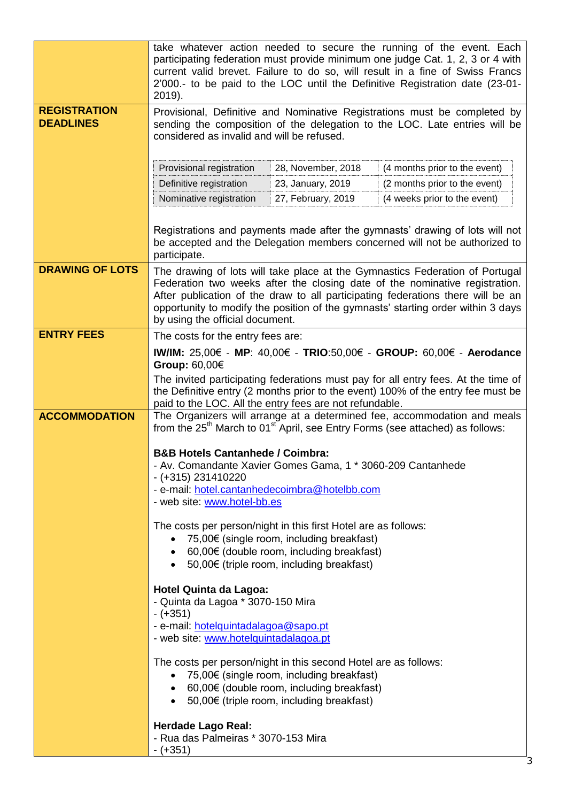|                                         | take whatever action needed to secure the running of the event. Each<br>participating federation must provide minimum one judge Cat. 1, 2, 3 or 4 with<br>current valid brevet. Failure to do so, will result in a fine of Swiss Francs<br>2'000.- to be paid to the LOC until the Definitive Registration date (23-01-<br>2019).                                     |                                                                                                                                                     |                                                                      |  |  |
|-----------------------------------------|-----------------------------------------------------------------------------------------------------------------------------------------------------------------------------------------------------------------------------------------------------------------------------------------------------------------------------------------------------------------------|-----------------------------------------------------------------------------------------------------------------------------------------------------|----------------------------------------------------------------------|--|--|
| <b>REGISTRATION</b><br><b>DEADLINES</b> | Provisional, Definitive and Nominative Registrations must be completed by<br>sending the composition of the delegation to the LOC. Late entries will be<br>considered as invalid and will be refused.                                                                                                                                                                 |                                                                                                                                                     |                                                                      |  |  |
|                                         | Provisional registration                                                                                                                                                                                                                                                                                                                                              | 28, November, 2018                                                                                                                                  | (4 months prior to the event)                                        |  |  |
|                                         | Definitive registration                                                                                                                                                                                                                                                                                                                                               | 23, January, 2019                                                                                                                                   | (2 months prior to the event)                                        |  |  |
|                                         | Nominative registration                                                                                                                                                                                                                                                                                                                                               | 27, February, 2019                                                                                                                                  | (4 weeks prior to the event)                                         |  |  |
|                                         | Registrations and payments made after the gymnasts' drawing of lots will not<br>be accepted and the Delegation members concerned will not be authorized to<br>participate.                                                                                                                                                                                            |                                                                                                                                                     |                                                                      |  |  |
| <b>DRAWING OF LOTS</b>                  | The drawing of lots will take place at the Gymnastics Federation of Portugal<br>Federation two weeks after the closing date of the nominative registration.<br>After publication of the draw to all participating federations there will be an<br>opportunity to modify the position of the gymnasts' starting order within 3 days<br>by using the official document. |                                                                                                                                                     |                                                                      |  |  |
| <b>ENTRY FEES</b>                       | The costs for the entry fees are:                                                                                                                                                                                                                                                                                                                                     |                                                                                                                                                     |                                                                      |  |  |
|                                         |                                                                                                                                                                                                                                                                                                                                                                       |                                                                                                                                                     | IW/IM: 25,00€ - MP: 40,00€ - TRIO:50,00€ - GROUP: 60,00€ - Aerodance |  |  |
|                                         | Group: 60,00€                                                                                                                                                                                                                                                                                                                                                         |                                                                                                                                                     |                                                                      |  |  |
|                                         | The invited participating federations must pay for all entry fees. At the time of<br>the Definitive entry (2 months prior to the event) 100% of the entry fee must be<br>paid to the LOC. All the entry fees are not refundable.                                                                                                                                      |                                                                                                                                                     |                                                                      |  |  |
| <b>ACCOMMODATION</b>                    | The Organizers will arrange at a determined fee, accommodation and meals<br>from the $25th$ March to 01 <sup>st</sup> April, see Entry Forms (see attached) as follows:                                                                                                                                                                                               |                                                                                                                                                     |                                                                      |  |  |
|                                         | <b>B&amp;B Hotels Cantanhede / Coimbra:</b><br>Av. Comandante Xavier Gomes Gama, 1 * 3060-209 Cantanhede<br>$- (+315) 231410220$<br>- e-mail: hotel.cantanhedecoimbra@hotelbb.com<br>- web site: www.hotel-bb.es                                                                                                                                                      |                                                                                                                                                     |                                                                      |  |  |
|                                         | The costs per person/night in this first Hotel are as follows:<br>75,00€ (single room, including breakfast)<br>• 60,00 $\in$ (double room, including breakfast)<br>• $50,00€$ (triple room, including breakfast)                                                                                                                                                      |                                                                                                                                                     |                                                                      |  |  |
|                                         | <b>Hotel Quinta da Lagoa:</b><br>- Quinta da Lagoa * 3070-150 Mira<br>$-(+351)$<br>- e-mail: hotelquintadalagoa@sapo.pt<br>- web site: www.hotelquintadalagoa.pt                                                                                                                                                                                                      |                                                                                                                                                     |                                                                      |  |  |
|                                         | The costs per person/night in this second Hotel are as follows:<br>$\bullet$                                                                                                                                                                                                                                                                                          | 75,00€ (single room, including breakfast)<br>• 60,00 $\epsilon$ (double room, including breakfast)<br>• $50,00€$ (triple room, including breakfast) |                                                                      |  |  |
|                                         | <b>Herdade Lago Real:</b><br>- Rua das Palmeiras * 3070-153 Mira<br>$-(+351)$                                                                                                                                                                                                                                                                                         |                                                                                                                                                     |                                                                      |  |  |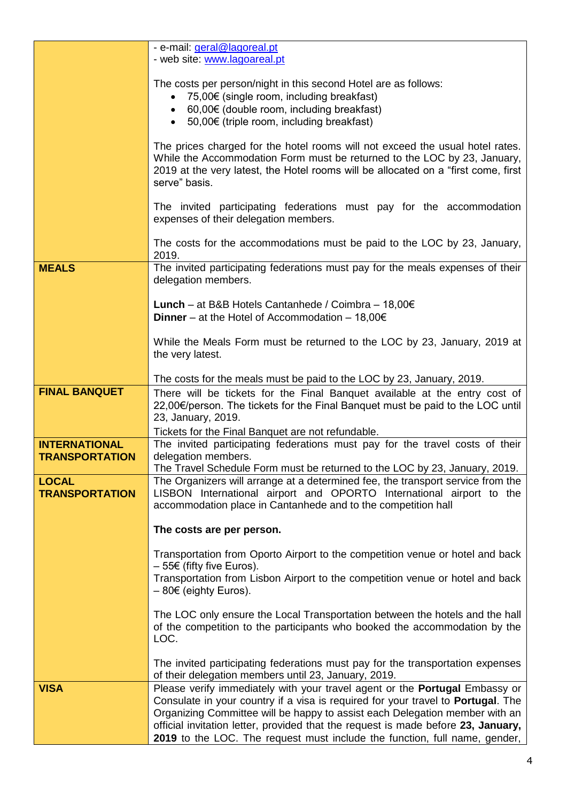|                                               | - e-mail: geral@lagoreal.pt<br>- web site: www.lagoareal.pt                                                                                                                                                                                                      |  |  |
|-----------------------------------------------|------------------------------------------------------------------------------------------------------------------------------------------------------------------------------------------------------------------------------------------------------------------|--|--|
|                                               |                                                                                                                                                                                                                                                                  |  |  |
|                                               | The costs per person/night in this second Hotel are as follows:<br>75,00€ (single room, including breakfast)<br>• $60,00 \in$ (double room, including breakfast)                                                                                                 |  |  |
|                                               |                                                                                                                                                                                                                                                                  |  |  |
|                                               | • $50,00€$ (triple room, including breakfast)                                                                                                                                                                                                                    |  |  |
|                                               | The prices charged for the hotel rooms will not exceed the usual hotel rates.<br>While the Accommodation Form must be returned to the LOC by 23, January,<br>2019 at the very latest, the Hotel rooms will be allocated on a "first come, first<br>serve" basis. |  |  |
|                                               | The invited participating federations must pay for the accommodation<br>expenses of their delegation members.                                                                                                                                                    |  |  |
|                                               | The costs for the accommodations must be paid to the LOC by 23, January,<br>2019.                                                                                                                                                                                |  |  |
| <b>MEALS</b>                                  | The invited participating federations must pay for the meals expenses of their<br>delegation members.                                                                                                                                                            |  |  |
|                                               | <b>Lunch</b> – at B&B Hotels Cantanhede / Coimbra – $18,00 \in$                                                                                                                                                                                                  |  |  |
|                                               | Dinner - at the Hotel of Accommodation - $18,00 \in$                                                                                                                                                                                                             |  |  |
|                                               | While the Meals Form must be returned to the LOC by 23, January, 2019 at<br>the very latest.                                                                                                                                                                     |  |  |
|                                               | The costs for the meals must be paid to the LOC by 23, January, 2019.                                                                                                                                                                                            |  |  |
| <b>FINAL BANQUET</b>                          | There will be tickets for the Final Banquet available at the entry cost of<br>22,00€/person. The tickets for the Final Banquet must be paid to the LOC until<br>23, January, 2019.                                                                               |  |  |
|                                               | Tickets for the Final Banquet are not refundable.                                                                                                                                                                                                                |  |  |
| <b>INTERNATIONAL</b><br><b>TRANSPORTATION</b> | The invited participating federations must pay for the travel costs of their<br>delegation members.                                                                                                                                                              |  |  |
|                                               | The Travel Schedule Form must be returned to the LOC by 23, January, 2019.                                                                                                                                                                                       |  |  |
| <b>LOCAL</b><br><b>TRANSPORTATION</b>         | The Organizers will arrange at a determined fee, the transport service from the<br>LISBON International airport and OPORTO International airport to the<br>accommodation place in Cantanhede and to the competition hall                                         |  |  |
|                                               | The costs are per person.                                                                                                                                                                                                                                        |  |  |
|                                               | Transportation from Oporto Airport to the competition venue or hotel and back                                                                                                                                                                                    |  |  |
|                                               | $-55€$ (fifty five Euros).<br>Transportation from Lisbon Airport to the competition venue or hotel and back<br>$-80 \in$ (eighty Euros).                                                                                                                         |  |  |
|                                               | The LOC only ensure the Local Transportation between the hotels and the hall<br>of the competition to the participants who booked the accommodation by the<br>LOC.                                                                                               |  |  |
|                                               | The invited participating federations must pay for the transportation expenses<br>of their delegation members until 23, January, 2019.                                                                                                                           |  |  |
| <b>VISA</b>                                   | Please verify immediately with your travel agent or the Portugal Embassy or                                                                                                                                                                                      |  |  |
|                                               | Consulate in your country if a visa is required for your travel to <b>Portugal</b> . The<br>Organizing Committee will be happy to assist each Delegation member with an                                                                                          |  |  |
|                                               | official invitation letter, provided that the request is made before 23, January,                                                                                                                                                                                |  |  |
|                                               | 2019 to the LOC. The request must include the function, full name, gender,                                                                                                                                                                                       |  |  |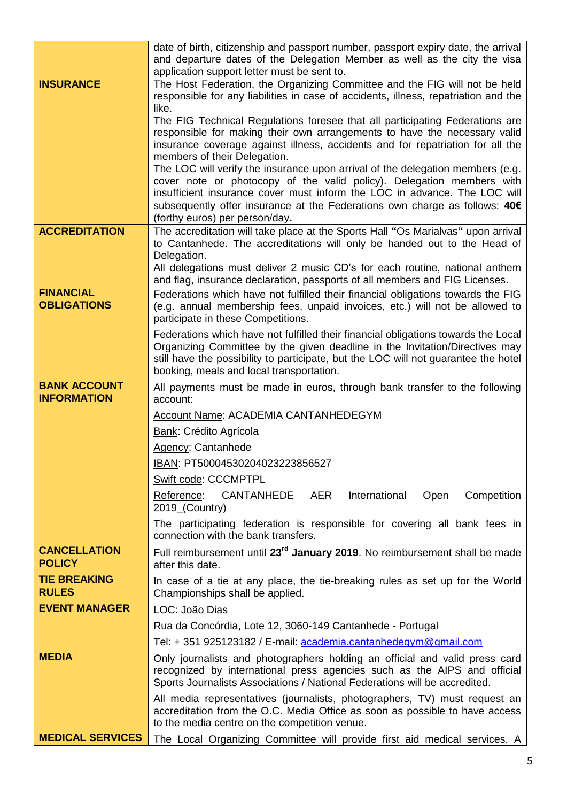|                                      | date of birth, citizenship and passport number, passport expiry date, the arrival<br>and departure dates of the Delegation Member as well as the city the visa<br>application support letter must be sent to.                                                                                                                                        |  |  |
|--------------------------------------|------------------------------------------------------------------------------------------------------------------------------------------------------------------------------------------------------------------------------------------------------------------------------------------------------------------------------------------------------|--|--|
| <b>INSURANCE</b>                     | The Host Federation, the Organizing Committee and the FIG will not be held<br>responsible for any liabilities in case of accidents, illness, repatriation and the                                                                                                                                                                                    |  |  |
|                                      | like.<br>The FIG Technical Regulations foresee that all participating Federations are<br>responsible for making their own arrangements to have the necessary valid<br>insurance coverage against illness, accidents and for repatriation for all the<br>members of their Delegation.                                                                 |  |  |
|                                      | The LOC will verify the insurance upon arrival of the delegation members (e.g.<br>cover note or photocopy of the valid policy). Delegation members with<br>insufficient insurance cover must inform the LOC in advance. The LOC will<br>subsequently offer insurance at the Federations own charge as follows: 40€<br>(forthy euros) per person/day. |  |  |
| <b>ACCREDITATION</b>                 | The accreditation will take place at the Sports Hall "Os Marialvas" upon arrival<br>to Cantanhede. The accreditations will only be handed out to the Head of<br>Delegation.<br>All delegations must deliver 2 music CD's for each routine, national anthem                                                                                           |  |  |
| <b>FINANCIAL</b>                     | and flag, insurance declaration, passports of all members and FIG Licenses.                                                                                                                                                                                                                                                                          |  |  |
| <b>OBLIGATIONS</b>                   | Federations which have not fulfilled their financial obligations towards the FIG<br>(e.g. annual membership fees, unpaid invoices, etc.) will not be allowed to<br>participate in these Competitions.                                                                                                                                                |  |  |
|                                      | Federations which have not fulfilled their financial obligations towards the Local<br>Organizing Committee by the given deadline in the Invitation/Directives may<br>still have the possibility to participate, but the LOC will not guarantee the hotel<br>booking, meals and local transportation.                                                 |  |  |
| <b>BANK ACCOUNT</b>                  | All payments must be made in euros, through bank transfer to the following                                                                                                                                                                                                                                                                           |  |  |
| <b>INFORMATION</b>                   | account:                                                                                                                                                                                                                                                                                                                                             |  |  |
|                                      | Account Name: ACADEMIA CANTANHEDEGYM                                                                                                                                                                                                                                                                                                                 |  |  |
|                                      | <b>Bank: Crédito Agrícola</b><br>Agency: Cantanhede                                                                                                                                                                                                                                                                                                  |  |  |
|                                      | IBAN: PT50004530204023223856527                                                                                                                                                                                                                                                                                                                      |  |  |
|                                      | Swift code: CCCMPTPL                                                                                                                                                                                                                                                                                                                                 |  |  |
|                                      | Reference:<br>CANTANHEDE AER<br>International<br>Competition<br>Open<br>2019_(Country)                                                                                                                                                                                                                                                               |  |  |
|                                      | The participating federation is responsible for covering all bank fees in<br>connection with the bank transfers.                                                                                                                                                                                                                                     |  |  |
| <b>CANCELLATION</b><br><b>POLICY</b> | Full reimbursement until 23 <sup>rd</sup> January 2019. No reimbursement shall be made<br>after this date.                                                                                                                                                                                                                                           |  |  |
| <b>TIE BREAKING</b><br><b>RULES</b>  | In case of a tie at any place, the tie-breaking rules as set up for the World<br>Championships shall be applied.                                                                                                                                                                                                                                     |  |  |
| <b>EVENT MANAGER</b>                 | LOC: João Dias                                                                                                                                                                                                                                                                                                                                       |  |  |
|                                      | Rua da Concórdia, Lote 12, 3060-149 Cantanhede - Portugal                                                                                                                                                                                                                                                                                            |  |  |
|                                      | Tel: +351 925123182 / E-mail: academia.cantanhedegym@gmail.com                                                                                                                                                                                                                                                                                       |  |  |
| <b>MEDIA</b>                         | Only journalists and photographers holding an official and valid press card<br>recognized by international press agencies such as the AIPS and official<br>Sports Journalists Associations / National Federations will be accredited.                                                                                                                |  |  |
|                                      | All media representatives (journalists, photographers, TV) must request an<br>accreditation from the O.C. Media Office as soon as possible to have access<br>to the media centre on the competition venue.                                                                                                                                           |  |  |
| <b>MEDICAL SERVICES</b>              | The Local Organizing Committee will provide first aid medical services. A                                                                                                                                                                                                                                                                            |  |  |